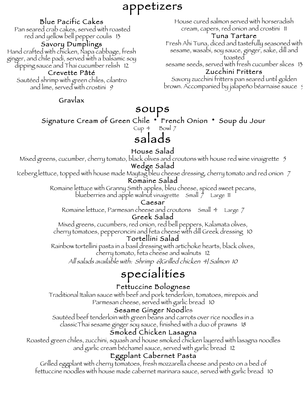# appetizers

### Blue Pacific Cakes

 Pan seared crab cakes, served with roasted red and yellow bell pepper coulis 13

#### Savory Dumplings

Hand crafted with chicken, Napa cabbage, fresh ginger, and chile padi, served with a balsamic soy dipping sauce and Thai cucumber relish 12

#### Crevette Pâté

Sautéed shrimp with green chiles, cilantro and lime, served with crostini 9

Gravlax

soups Signature Cream of Green Chile \* French Onion \* Soup du Jour

Cup 4 Bowl 7

## salads

#### House Salad

Mixed greens, cucumber, cherry tomato, black olives and croutons with house red wine vinaigrette 5

#### Wedge Salad

Iceberg lettuce, topped with house made Maytag bleu cheese dressing, cherry tomato and red onion 7

#### Romaine Salad

Romaine lettuce with Granny Smith apples, bleu cheese, spiced sweet pecans, blueberries and apple walnut vinaigrette Small 7 Large 11

#### Caesar

Romaine lettuce, Parmesan cheese and croutons Small 4 Large 7

#### Greek Salad

Mixed greens, cucumbers, red onion, red bell peppers, Kalamata olives, cherry tomatoes, pepperoncini and feta cheese with dill Greek dressing 10

#### Tortellini Salad

Rainbow tortellini pasta in a basil dressing with artichoke hearts, black olives, cherry tomato, feta cheese and walnuts 12

All salads available with: Shrimp 6|Grilled chicken 4| Salmon 10

# specialities

#### Fettuccine Bolognese

Traditional Italian sauce with beef and pork tenderloin, tomatoes, mirepoix and Parmesan cheese, served with garlic bread 10

#### Sesame Ginger Noodles

Sautéed beef tenderloin with green beans and carrots over rice noodles in a classicThai sesame ginger soy sauce, finished with a duo of prawns 18

#### Smoked Chicken Lasagna

Roasted green chiles, zucchini, squash and house smoked chicken layered with lasagna noodles and garlic cream béchamel sauce, served with garlic bread 12

#### Eggplant Cabernet Pasta

Grilled eggplant with cherry tomatoes, fresh mozzarella cheese and pesto on a bed of fettuccine noodles with house made cabernet marinara sauce, served with garlic bread 10

House cured salmon served with horseradish cream, capers, red onion and crostini 11 Tuna Tartare

Fresh Ahi Tuna, diced and tastefully seasoned with sesame, wasabi, soy sauce, ginger, sake, dill and toasted

sesame seeds, served with fresh cucumber slices 13 Zucchini Fritters

Savory zucchini fritters pan seared until golden brown. Accompanied by jalapeño béarnaise sauce 9